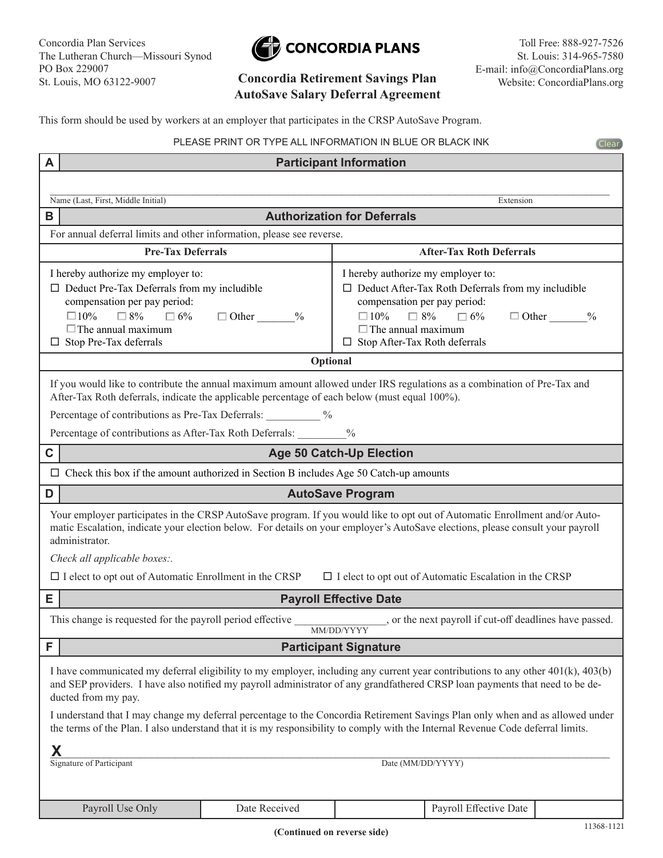Concordia Plan Services The Lutheran Church—Missouri Synod PO Box 229007 St. Louis, MO 63122-9007



## **AutoSave Salary Deferral Agreement**

Toll Free: 888-927-7526 St. Louis: 314-965-7580 E-mail: info@ConcordiaPlans.org **Concordia Retirement Savings Plan** Website: ConcordiaPlans.org

**Clear** 

This form should be used by workers at an employer that participates in the CRSP AutoSave Program.

PLEASE PRINT OR TYPE ALL INFORMATION IN BLUE OR BLACK INK

| <b>Participant Information</b><br>A                                                                                                                                                                                                                                                                                                                                  |                               |                                                                                                                                                                                                                                                              |  |  |
|----------------------------------------------------------------------------------------------------------------------------------------------------------------------------------------------------------------------------------------------------------------------------------------------------------------------------------------------------------------------|-------------------------------|--------------------------------------------------------------------------------------------------------------------------------------------------------------------------------------------------------------------------------------------------------------|--|--|
|                                                                                                                                                                                                                                                                                                                                                                      |                               |                                                                                                                                                                                                                                                              |  |  |
| Name (Last, First, Middle Initial)                                                                                                                                                                                                                                                                                                                                   |                               | Extension                                                                                                                                                                                                                                                    |  |  |
| B                                                                                                                                                                                                                                                                                                                                                                    |                               | <b>Authorization for Deferrals</b>                                                                                                                                                                                                                           |  |  |
| For annual deferral limits and other information, please see reverse.                                                                                                                                                                                                                                                                                                |                               |                                                                                                                                                                                                                                                              |  |  |
| <b>Pre-Tax Deferrals</b>                                                                                                                                                                                                                                                                                                                                             |                               | <b>After-Tax Roth Deferrals</b>                                                                                                                                                                                                                              |  |  |
| I hereby authorize my employer to:<br>$\Box$ Deduct Pre-Tax Deferrals from my includible<br>compensation per pay period:<br>$\Box 10\%$<br>$\Box$ 8% $\Box$ 6%<br>$\Box$ The annual maximum<br>$\Box$ Stop Pre-Tax deferrals                                                                                                                                         | $\Box$ Other<br>$\frac{0}{0}$ | I hereby authorize my employer to:<br>$\Box$ Deduct After-Tax Roth Deferrals from my includible<br>compensation per pay period:<br>$\Box$ 8% $\Box$ 6%<br>$\Box 10\%$<br>$\Box$ Other %<br>$\Box$ The annual maximum<br>$\Box$ Stop After-Tax Roth deferrals |  |  |
| Optional                                                                                                                                                                                                                                                                                                                                                             |                               |                                                                                                                                                                                                                                                              |  |  |
| If you would like to contribute the annual maximum amount allowed under IRS regulations as a combination of Pre-Tax and<br>After-Tax Roth deferrals, indicate the applicable percentage of each below (must equal 100%).<br>Percentage of contributions as Pre-Tax Deferrals: 2009/2010<br>Percentage of contributions as After-Tax Roth Deferrals:<br>$\frac{0}{0}$ |                               |                                                                                                                                                                                                                                                              |  |  |
| C<br><b>Age 50 Catch-Up Election</b>                                                                                                                                                                                                                                                                                                                                 |                               |                                                                                                                                                                                                                                                              |  |  |
| $\Box$ Check this box if the amount authorized in Section B includes Age 50 Catch-up amounts                                                                                                                                                                                                                                                                         |                               |                                                                                                                                                                                                                                                              |  |  |
| D<br><b>AutoSave Program</b>                                                                                                                                                                                                                                                                                                                                         |                               |                                                                                                                                                                                                                                                              |  |  |
| Your employer participates in the CRSP AutoSave program. If you would like to opt out of Automatic Enrollment and/or Auto-<br>matic Escalation, indicate your election below. For details on your employer's AutoSave elections, please consult your payroll<br>administrator.<br>Check all applicable boxes:.                                                       |                               |                                                                                                                                                                                                                                                              |  |  |
| $\Box$ I elect to opt out of Automatic Enrollment in the CRSP<br>$\Box$ I elect to opt out of Automatic Escalation in the CRSP<br><b>Payroll Effective Date</b>                                                                                                                                                                                                      |                               |                                                                                                                                                                                                                                                              |  |  |
| Е                                                                                                                                                                                                                                                                                                                                                                    |                               |                                                                                                                                                                                                                                                              |  |  |
| This change is requested for the payroll period effective                                                                                                                                                                                                                                                                                                            |                               | MM/DD/YYYY                                                                                                                                                                                                                                                   |  |  |
| F<br><b>Participant Signature</b>                                                                                                                                                                                                                                                                                                                                    |                               |                                                                                                                                                                                                                                                              |  |  |
| I have communicated my deferral eligibility to my employer, including any current year contributions to any other 401(k), 403(b)<br>and SEP providers. I have also notified my payroll administrator of any grandfathered CRSP loan payments that need to be de-<br>ducted from my pay.                                                                              |                               |                                                                                                                                                                                                                                                              |  |  |
| I understand that I may change my deferral percentage to the Concordia Retirement Savings Plan only when and as allowed under<br>the terms of the Plan. I also understand that it is my responsibility to comply with the Internal Revenue Code deferral limits.                                                                                                     |                               |                                                                                                                                                                                                                                                              |  |  |
| Χ<br>Signature of Participant<br>Date (MM/DD/YYYY)                                                                                                                                                                                                                                                                                                                   |                               |                                                                                                                                                                                                                                                              |  |  |
| Payroll Use Only                                                                                                                                                                                                                                                                                                                                                     | Date Received                 | Payroll Effective Date                                                                                                                                                                                                                                       |  |  |